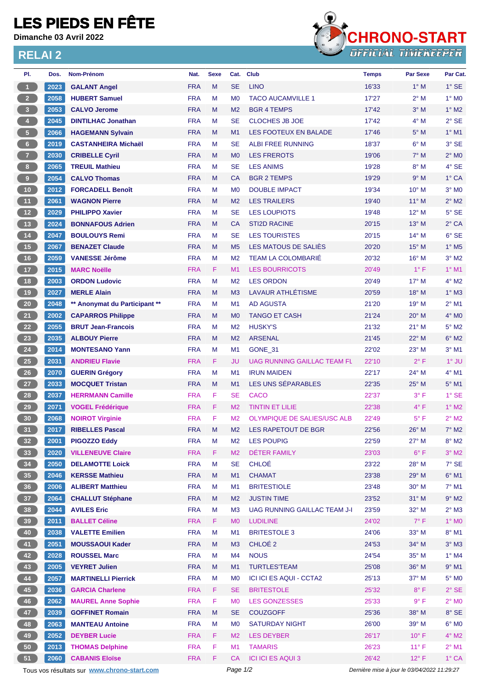## **LES PIEDS EN FÊTE**

**Dimanche 03 Avril 2022**

## **RELAI 2**



| PI.               | Dos.         | <b>Nom-Prénom</b>                                                    | Nat.                     | <b>Sexe</b> |                | Cat. Club                      | <b>Temps</b>                                | <b>Par Sexe</b>                  | Par Cat.                       |
|-------------------|--------------|----------------------------------------------------------------------|--------------------------|-------------|----------------|--------------------------------|---------------------------------------------|----------------------------------|--------------------------------|
| $\overline{1}$    | 2023         | <b>GALANT Angel</b>                                                  | <b>FRA</b>               | M           | <b>SE</b>      | <b>LINO</b>                    | 16'33                                       | $1^\circ$ M                      | $1^\circ$ SE                   |
| $\overline{2}$    | 2058         | <b>HUBERT Samuel</b>                                                 | <b>FRA</b>               | M           | M <sub>0</sub> | <b>TACO AUCAMVILLE 1</b>       | 17'27                                       | $2^{\circ}$ M                    | $1^\circ$ MO                   |
| 3 <sup>1</sup>    | 2053         | <b>CALVO Jerome</b>                                                  | <b>FRA</b>               | M           | M <sub>2</sub> | <b>BGR 4 TEMPS</b>             | 17'42                                       | $3°$ M                           | $1^\circ$ M2                   |
| $\overline{4}$    | 2045         | <b>DINTILHAC Jonathan</b>                                            | <b>FRA</b>               | M           | <b>SE</b>      | <b>CLOCHES JB JOE</b>          | 17'42                                       | $4^\circ$ M                      | $2°$ SE                        |
| $\sqrt{5}$        | 2066         | <b>HAGEMANN Sylvain</b>                                              | <b>FRA</b>               | M           | M <sub>1</sub> | <b>LES FOOTEUX EN BALADE</b>   | 17'46                                       | $5^\circ$ M                      | $1^\circ$ M1                   |
| $6 -$             | 2019         | <b>CASTANHEIRA Michaël</b>                                           | <b>FRA</b>               | M           | <b>SE</b>      | <b>ALBI FREE RUNNING</b>       | 18'37                                       | $6^\circ$ M                      | 3° SE                          |
| $\overline{7}$    | 2030         | <b>CRIBELLE Cyril</b>                                                | <b>FRA</b>               | M           | M <sub>0</sub> | <b>LES FREROTS</b>             | 19'06                                       | $7^\circ$ M                      | $2^{\circ}$ MO                 |
| 8 <sup>1</sup>    | 2065         | <b>TREUIL Mathieu</b>                                                | <b>FRA</b>               | M           | <b>SE</b>      | <b>LES ANIMS</b>               | 19'28                                       | $8^\circ$ M                      | 4° SE                          |
| $\boldsymbol{9}$  | 2054         | <b>CALVO Thomas</b>                                                  | <b>FRA</b>               | M           | <b>CA</b>      | <b>BGR 2 TEMPS</b>             | 19'29                                       | 9° M                             | $1^\circ$ CA                   |
| $10$              | 2012         | <b>FORCADELL Benoît</b>                                              | <b>FRA</b>               | M           | M <sub>0</sub> | <b>DOUBLE IMPACT</b>           | 19'34                                       | $10^{\circ}$ M                   | $3°$ MO                        |
| 11                | 2061         | <b>WAGNON Pierre</b>                                                 | <b>FRA</b>               | M           | M <sub>2</sub> | <b>LES TRAILERS</b>            | 19'40                                       | $11^{\circ}$ M                   | $2^{\circ}$ M2                 |
| 12                | 2029         | <b>PHILIPPO Xavier</b>                                               | <b>FRA</b>               | M           | <b>SE</b>      | <b>LES LOUPIOTS</b>            | 19'48                                       | 12° M                            | $5^\circ$ SE                   |
| 13                | 2024         | <b>BONNAFOUS Adrien</b>                                              | <b>FRA</b>               | M           | CA             | <b>STI2D RACINE</b>            | 20'15                                       | $13^{\circ}$ M                   | $2°$ CA                        |
| $14$              | 2047         | <b>BOULOUYS Remi</b>                                                 | <b>FRA</b>               | M           | <b>SE</b>      | <b>LES TOURISTES</b>           | 20'15                                       | $14^{\circ}$ M                   | 6° SE                          |
| 15                | 2067         | <b>BENAZET Claude</b>                                                | <b>FRA</b>               | M           | M <sub>5</sub> | LES MATOUS DE SALIES           | 20'20                                       | $15^{\circ}$ M                   | $1^\circ$ M <sub>5</sub>       |
| 16                | 2059         | <b>VANESSE Jérôme</b>                                                | <b>FRA</b>               | M           | M <sub>2</sub> | <b>TEAM LA COLOMBARIÉ</b>      | 20'32                                       | $16^{\circ}$ M                   | $3°$ M2                        |
| 17 <sub>2</sub>   | 2015         | <b>MARC Noëlle</b>                                                   | <b>FRA</b>               | F           | M1             | <b>LES BOURRICOTS</b>          | 20'49                                       | $1^{\circ}$ F                    | $1°$ M1                        |
| 18                | 2003         | <b>ORDON Ludovic</b>                                                 | <b>FRA</b>               | M           | M <sub>2</sub> | <b>LES ORDON</b>               | 20'49                                       | $17^{\circ}$ M                   | $4^{\circ}$ M2                 |
| 19                | 2027         | <b>MERLE Alain</b>                                                   | <b>FRA</b>               | M           | M <sub>3</sub> | LAVAUR ATHLÉTISME              | 20'59                                       | 18° M                            | $1^\circ$ M3                   |
| 20 <sub>2</sub>   | 2048         | ** Anonymat du Participant **                                        | <b>FRA</b>               | M           | M1             | <b>AD AGUSTA</b>               | 21'20                                       | $19^{\circ}$ M                   | $2^{\circ}$ M1                 |
| 21                | 2002         | <b>CAPARROS Philippe</b>                                             | <b>FRA</b>               | M           | M <sub>0</sub> | <b>TANGO ET CASH</b>           | 21'24                                       | $20^\circ$ M                     | $4^\circ$ MO                   |
| 22                | 2055         | <b>BRUT Jean-Francois</b>                                            | <b>FRA</b>               | М           | M <sub>2</sub> | <b>HUSKY'S</b>                 | 21'32                                       | $21^{\circ}$ M                   | $5^\circ$ M2                   |
| 23                | 2035         | <b>ALBOUY Pierre</b>                                                 | <b>FRA</b>               | M           | M <sub>2</sub> | <b>ARSENAL</b>                 | 21'45                                       | 22° M                            | $6^\circ$ M2                   |
| 24                | 2014         | <b>MONTESANO Yann</b>                                                | <b>FRA</b>               | M           | M1             | GONE 31                        | 22'02                                       | $23^\circ$ M                     | $3°$ M1                        |
| 25                | 2031         | <b>ANDRIEU Flavie</b>                                                | <b>FRA</b>               | F.          | JU             | UAG RUNNING GAILLAC TEAM FL    | 22'10                                       | $2^{\circ}$ F                    | $1°$ JU                        |
| 26                | 2070         | <b>GUERIN Grégory</b>                                                | <b>FRA</b>               | M           | M <sub>1</sub> | <b>IRUN MAIDEN</b>             | 22'17                                       | 24° M                            | $4^{\circ}$ M1                 |
| 27                | 2033         | <b>MOCQUET Tristan</b>                                               | <b>FRA</b>               | M           | M1             | LES UNS SÉPARABLES             | 22'35                                       | 25° M                            | $5^{\circ}$ M1                 |
| 28                | 2037         | <b>HERRMANN Camille</b>                                              | <b>FRA</b>               | F           | <b>SE</b>      | <b>CACO</b>                    | 22'37                                       | 3° F                             | $1^\circ$ SE                   |
| 29                | 2071         | <b>VOGEL Frédérique</b>                                              | <b>FRA</b>               | F           | M <sub>2</sub> | <b>TINTIN ET LILIE</b>         | 22'38                                       | $4^{\circ}$ F                    | $1^\circ$ M2                   |
| 30 <sup>°</sup>   | 2068         | <b>NOIROT Virginie</b>                                               | <b>FRA</b>               | F           | M <sub>2</sub> | OLYMPIQUE DE SALIES/USC ALB    | 22'49                                       | $5^{\circ}$ F                    | $2^{\circ}$ M2                 |
| $\left(31\right)$ |              | 2017 RIBELLES Pascal                                                 | <b>FRA</b>               | M           | M <sub>2</sub> | LES RAPETOUT DE BGR            | 22'56                                       | 26° M                            | $7^\circ$ M2                   |
| 32 <sub>2</sub>   | 2001         | <b>PIGOZZO Eddy</b>                                                  | <b>FRA</b>               | M           | M <sub>2</sub> | <b>LES POUPIG</b>              | 22'59                                       | $27^\circ$ M                     | $8^\circ$ M2                   |
| 33                | 2020         | <b>VILLENEUVE Claire</b>                                             | <b>FRA</b>               | F.          | M <sub>2</sub> | <b>DÉTER FAMILY</b>            | 23'03                                       | $6^{\circ}$ F                    | $3°$ M2                        |
| 34                | 2050         | <b>DELAMOTTE Loick</b>                                               | <b>FRA</b>               | M           | <b>SE</b>      | <b>CHLOÉ</b>                   | 23'22                                       | 28° M                            | $7°$ SE                        |
| 35 <sub>1</sub>   | 2046         | <b>KERSSE Mathieu</b>                                                | <b>FRA</b>               | M           | M1             | <b>CHAMAT</b>                  | 23'38                                       | 29° M                            | $6^{\circ}$ M1                 |
| 36 <sup>°</sup>   | 2006         | <b>ALIBERT Matthieu</b>                                              | <b>FRA</b>               | M           | M <sub>1</sub> | <b>BRITESTIOLE</b>             | 23'48                                       | $30^\circ$ M                     | $7^\circ$ M1                   |
| 37 <sup>2</sup>   | 2064         | <b>CHALLUT Stéphane</b>                                              | <b>FRA</b>               | M           | M <sub>2</sub> | <b>JUSTIN TIME</b>             | 23'52                                       | $31^\circ$ M                     | $9°$ M2                        |
| 38                | 2044         | <b>AVILES Eric</b>                                                   | <b>FRA</b>               | М           | M <sub>3</sub> | UAG RUNNING GAILLAC TEAM J-I   | 23'59                                       | 32° M                            | $2^{\circ}$ M3                 |
| 39                | 2011         | <b>BALLET Céline</b>                                                 | <b>FRA</b>               | F.          | M <sub>0</sub> | <b>LUDILINE</b>                | 24'02                                       | $7^\circ$ F                      | $1^\circ$ MO                   |
| 40                | 2038         | <b>VALETTE Emilien</b>                                               | <b>FRA</b>               | M           | M <sub>1</sub> | <b>BRITESTOLE 3</b>            | 24'06                                       | 33° M                            | $8^\circ$ M1                   |
| 41                | 2051         | <b>MOUSSAOUI Kader</b>                                               | <b>FRA</b>               | M           | M3             | CHLOÉ <sub>2</sub>             | 24'53                                       | 34° M                            | $3^\circ$ M3                   |
| 42                | 2028         | <b>ROUSSEL Marc</b>                                                  | <b>FRA</b>               | М           | M4             | <b>NOUS</b>                    | 24'54                                       | $35^\circ$ M                     | $1^\circ$ M4                   |
| 43                | 2005         | <b>VEYRET Julien</b>                                                 | <b>FRA</b>               | M           | M1             | <b>TURTLES'TEAM</b>            | 25'08                                       | 36° M                            | $9°$ M1                        |
| 44                | 2057         | <b>MARTINELLI Pierrick</b>                                           | <b>FRA</b>               | М           | M <sub>0</sub> | <b>ICI ICI ES AQUI - CCTA2</b> | 25'13                                       | 37° M                            | $5^\circ$ MO                   |
| 45                | 2036         | <b>GARCIA Charlene</b>                                               | <b>FRA</b>               | F           | <b>SE</b>      | <b>BRITESTOLE</b>              | 25'32                                       | $8^{\circ}$ F                    | $2°$ SE                        |
| 46                | 2062         | <b>MAUREL Anne Sophie</b>                                            | <b>FRA</b>               | F           | M <sub>0</sub> | <b>LES GONZESSES</b>           | 25'33                                       | 9° F                             | $2^\circ$ MO                   |
| 47                | 2039         | <b>GOFFINET Romain</b>                                               | <b>FRA</b>               | M           | <b>SE</b>      | <b>COUZGOFF</b>                | 25'36                                       | 38° M                            | 8° SE                          |
| 48                | 2063         | <b>MANTEAU Antoine</b>                                               | <b>FRA</b>               | M           | M <sub>0</sub> | <b>SATURDAY NIGHT</b>          | 26'00                                       | 39° M                            | $6^\circ$ MO                   |
| 49                | 2052         | <b>DEYBER Lucie</b>                                                  | <b>FRA</b>               | F           | M <sub>2</sub> | <b>LES DEYBER</b>              | 26'17                                       | $10^{\circ}$ F                   | $4^\circ$ M2                   |
|                   |              |                                                                      |                          |             |                | <b>TAMARIS</b>                 |                                             |                                  |                                |
| 50<br>51          | 2013<br>2060 | <b>THOMAS Delphine</b>                                               | <b>FRA</b><br><b>FRA</b> | F<br>F.     | M1<br>CA       |                                | 26'23<br>26'42                              | $11^{\circ}$ F<br>$12^{\circ}$ F | $2^{\circ}$ M1<br>$1^\circ$ CA |
|                   |              | <b>CABANIS Eloïse</b><br>Tous vos résultats sur www.chrono-start.com |                          |             | Page 1/2       | <b>ICI ICI ES AQUI 3</b>       |                                             |                                  |                                |
|                   |              |                                                                      |                          |             |                |                                | Dernière mise à jour le 03/04/2022 11:29:27 |                                  |                                |